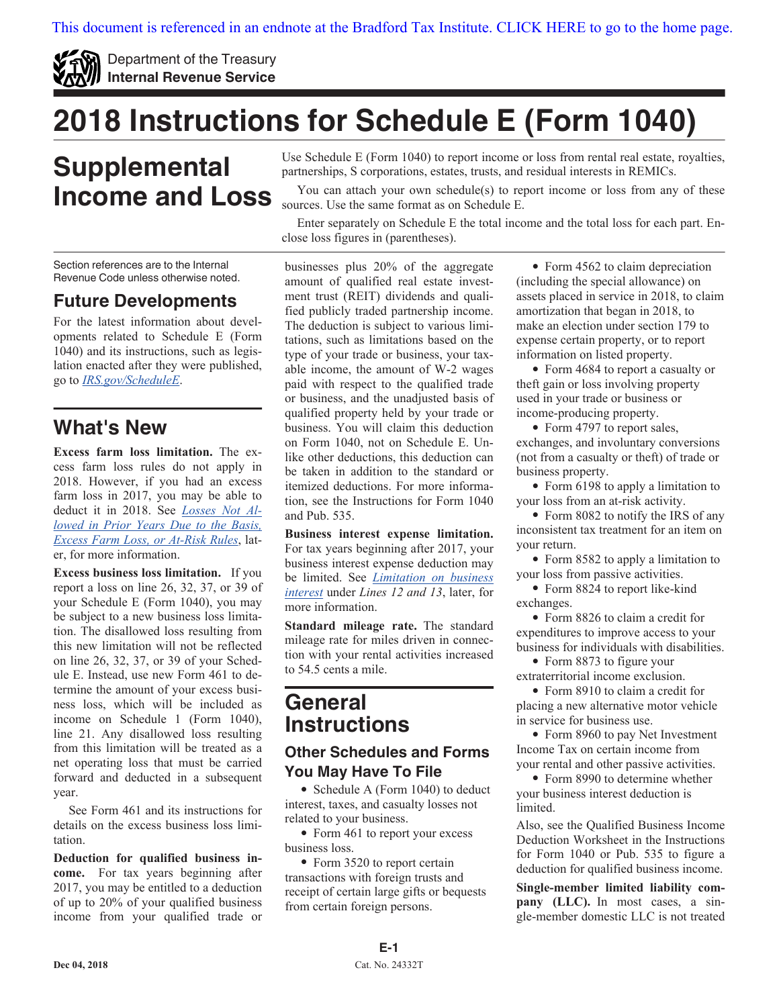

Department of the Treasury **Internal Revenue Service**

# **2018 Instructions for Schedule E (Form 1040)**

# **Supplemental Income and Loss**

Section references are to the Internal Revenue Code unless otherwise noted.

# **Future Developments**

For the latest information about developments related to Schedule E (Form 1040) and its instructions, such as legislation enacted after they were published, go to *[IRS.gov/ScheduleE](https://www.irs.gov/schedulee)*.

# **What's New**

**Excess farm loss limitation.** The excess farm loss rules do not apply in 2018. However, if you had an excess farm loss in 2017, you may be able to deduct it in 2018. See *[Losses Not Al](#page-9-0)[lowed in Prior Years Due to the Basis,](#page-9-0) [Excess Farm Loss, or At-Risk Rules](#page-9-0)*, later, for more information.

**Excess business loss limitation.** If you report a loss on line 26, 32, 37, or 39 of your Schedule E (Form 1040), you may be subject to a new business loss limitation. The disallowed loss resulting from this new limitation will not be reflected on line 26, 32, 37, or 39 of your Schedule E. Instead, use new Form 461 to determine the amount of your excess business loss, which will be included as income on Schedule 1 (Form 1040), line 21. Any disallowed loss resulting from this limitation will be treated as a net operating loss that must be carried forward and deducted in a subsequent year.

See Form 461 and its instructions for details on the excess business loss limitation.

**Deduction for qualified business income.** For tax years beginning after 2017, you may be entitled to a deduction of up to 20% of your qualified business income from your qualified trade or Use Schedule E (Form 1040) to report income or loss from rental real estate, royalties, partnerships, S corporations, estates, trusts, and residual interests in REMICs.

You can attach your own schedule(s) to report income or loss from any of these sources. Use the same format as on Schedule E.

Enter separately on Schedule E the total income and the total loss for each part. Enclose loss figures in (parentheses).

businesses plus 20% of the aggregate amount of qualified real estate investment trust (REIT) dividends and qualified publicly traded partnership income. The deduction is subject to various limitations, such as limitations based on the type of your trade or business, your taxable income, the amount of W-2 wages paid with respect to the qualified trade or business, and the unadjusted basis of qualified property held by your trade or business. You will claim this deduction on Form 1040, not on Schedule E. Unlike other deductions, this deduction can be taken in addition to the standard or itemized deductions. For more information, see the Instructions for Form 1040 and Pub. 535.

**Business interest expense limitation.**  For tax years beginning after 2017, your business interest expense deduction may be limited. See *[Limitation on business](#page-6-0) [interest](#page-6-0)* under *Lines 12 and 13*, later, for more information.

**Standard mileage rate.** The standard mileage rate for miles driven in connection with your rental activities increased to 54.5 cents a mile.

# **General Instructions**

### **Other Schedules and Forms You May Have To File**

• Schedule A (Form 1040) to deduct interest, taxes, and casualty losses not related to your business.

• Form 461 to report your excess business loss.

• Form 3520 to report certain transactions with foreign trusts and receipt of certain large gifts or bequests from certain foreign persons.

• Form 4562 to claim depreciation (including the special allowance) on assets placed in service in 2018, to claim amortization that began in 2018, to make an election under section 179 to expense certain property, or to report information on listed property.

• Form 4684 to report a casualty or theft gain or loss involving property used in your trade or business or income-producing property.

• Form 4797 to report sales, exchanges, and involuntary conversions (not from a casualty or theft) of trade or business property.

• Form 6198 to apply a limitation to your loss from an at-risk activity.

• Form 8082 to notify the IRS of any inconsistent tax treatment for an item on your return.

• Form 8582 to apply a limitation to your loss from passive activities.

• Form 8824 to report like-kind exchanges.

• Form 8826 to claim a credit for expenditures to improve access to your business for individuals with disabilities.

• Form 8873 to figure your extraterritorial income exclusion.

• Form 8910 to claim a credit for placing a new alternative motor vehicle in service for business use.

• Form 8960 to pay Net Investment Income Tax on certain income from your rental and other passive activities.

• Form 8990 to determine whether your business interest deduction is limited.

Also, see the Qualified Business Income Deduction Worksheet in the Instructions for Form 1040 or Pub. 535 to figure a deduction for qualified business income.

**Single-member limited liability company (LLC).** In most cases, a single-member domestic LLC is not treated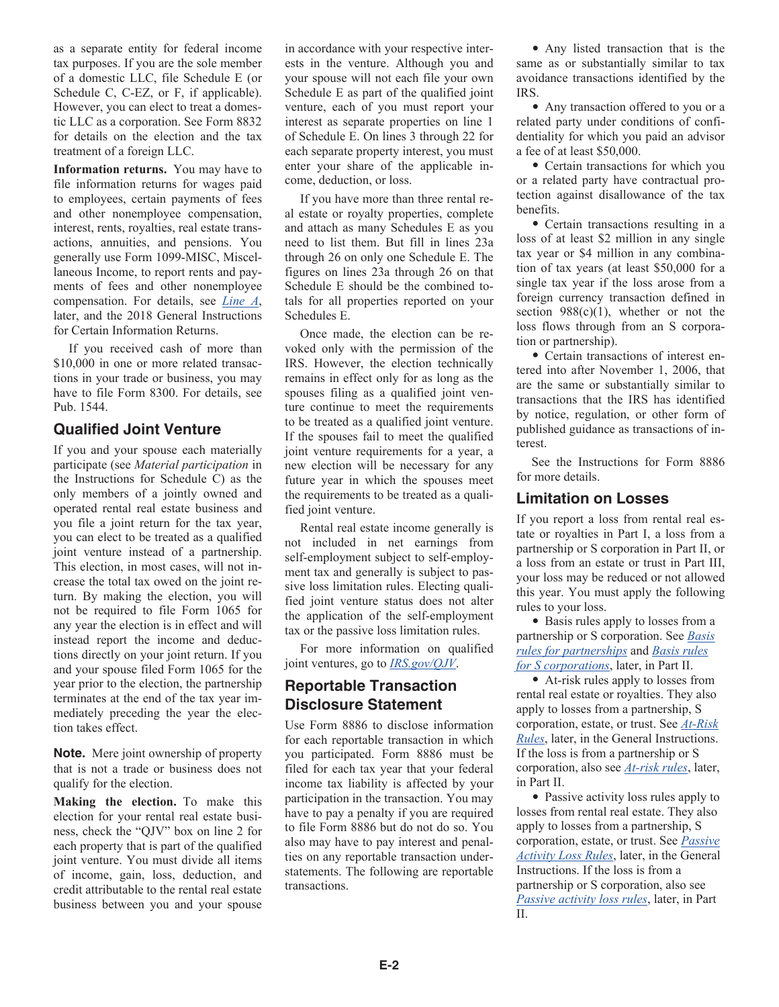<span id="page-1-0"></span>as a separate entity for federal income tax purposes. If you are the sole member of a domestic LLC, file Schedule E (or Schedule C, C-EZ, or F, if applicable). However, you can elect to treat a domestic LLC as a corporation. See Form 8832 for details on the election and the tax treatment of a foreign LLC.

**Information returns.** You may have to file information returns for wages paid to employees, certain payments of fees and other nonemployee compensation, interest, rents, royalties, real estate transactions, annuities, and pensions. You generally use Form 1099-MISC, Miscellaneous Income, to report rents and payments of fees and other nonemployee compensation. For details, see *[Line A](#page-4-0)*, later, and the 2018 General Instructions for Certain Information Returns.

If you received cash of more than \$10,000 in one or more related transactions in your trade or business, you may have to file Form 8300. For details, see Pub. 1544.

### **Qualified Joint Venture**

If you and your spouse each materially participate (see *Material participation* in the Instructions for Schedule C) as the only members of a jointly owned and operated rental real estate business and you file a joint return for the tax year, you can elect to be treated as a qualified joint venture instead of a partnership. This election, in most cases, will not increase the total tax owed on the joint return. By making the election, you will not be required to file Form 1065 for any year the election is in effect and will instead report the income and deductions directly on your joint return. If you and your spouse filed Form 1065 for the year prior to the election, the partnership terminates at the end of the tax year immediately preceding the year the election takes effect.

**Note.** Mere joint ownership of property that is not a trade or business does not qualify for the election.

**Making the election.** To make this election for your rental real estate business, check the "QJV" box on line 2 for each property that is part of the qualified joint venture. You must divide all items of income, gain, loss, deduction, and credit attributable to the rental real estate business between you and your spouse in accordance with your respective interests in the venture. Although you and your spouse will not each file your own Schedule E as part of the qualified joint venture, each of you must report your interest as separate properties on line 1 of Schedule E. On lines 3 through 22 for each separate property interest, you must enter your share of the applicable income, deduction, or loss.

If you have more than three rental real estate or royalty properties, complete and attach as many Schedules E as you need to list them. But fill in lines 23a through 26 on only one Schedule E. The figures on lines 23a through 26 on that Schedule E should be the combined totals for all properties reported on your Schedules E.

Once made, the election can be revoked only with the permission of the IRS. However, the election technically remains in effect only for as long as the spouses filing as a qualified joint venture continue to meet the requirements to be treated as a qualified joint venture. If the spouses fail to meet the qualified joint venture requirements for a year, a new election will be necessary for any future year in which the spouses meet the requirements to be treated as a qualified joint venture.

Rental real estate income generally is not included in net earnings from self-employment subject to self-employment tax and generally is subject to passive loss limitation rules. Electing qualified joint venture status does not alter the application of the self-employment tax or the passive loss limitation rules.

For more information on qualified joint ventures, go to *[IRS.gov/QJV](https://www.IRS.gov/QJV)*.

# **Reportable Transaction Disclosure Statement**

Use Form 8886 to disclose information for each reportable transaction in which you participated. Form 8886 must be filed for each tax year that your federal income tax liability is affected by your participation in the transaction. You may have to pay a penalty if you are required to file Form 8886 but do not do so. You also may have to pay interest and penalties on any reportable transaction understatements. The following are reportable transactions.

• Any listed transaction that is the same as or substantially similar to tax avoidance transactions identified by the IRS.

• Any transaction offered to you or a related party under conditions of confidentiality for which you paid an advisor a fee of at least \$50,000.

• Certain transactions for which you or a related party have contractual protection against disallowance of the tax benefits.

• Certain transactions resulting in a loss of at least \$2 million in any single tax year or \$4 million in any combination of tax years (at least \$50,000 for a single tax year if the loss arose from a foreign currency transaction defined in section  $988(c)(1)$ , whether or not the loss flows through from an S corporation or partnership).

• Certain transactions of interest entered into after November 1, 2006, that are the same or substantially similar to transactions that the IRS has identified by notice, regulation, or other form of published guidance as transactions of interest.

See the Instructions for Form 8886 for more details.

### **Limitation on Losses**

If you report a loss from rental real estate or royalties in Part I, a loss from a partnership or S corporation in Part II, or a loss from an estate or trust in Part III, your loss may be reduced or not allowed this year. You must apply the following rules to your loss.

• Basis rules apply to losses from a partnership or S corporation. See *[Basis](#page-7-0) [rules for partnerships](#page-7-0)* and *[Basis rules](#page-8-0)  [for S corporations](#page-8-0)*, later, in Part II.

• At-risk rules apply to losses from rental real estate or royalties. They also apply to losses from a partnership, S corporation, estate, or trust. See *[At-Risk](#page-2-0)  [Rules](#page-2-0)*, later, in the General Instructions. If the loss is from a partnership or S corporation, also see *[At-risk rules](#page-8-0)*, later, in Part II.

• Passive activity loss rules apply to losses from rental real estate. They also apply to losses from a partnership, S corporation, estate, or trust. See *[Passive](#page-2-0)  [Activity Loss Rules](#page-2-0)*, later, in the General Instructions. If the loss is from a partnership or S corporation, also see *[Passive activity loss rules](#page-8-0)*, later, in Part II.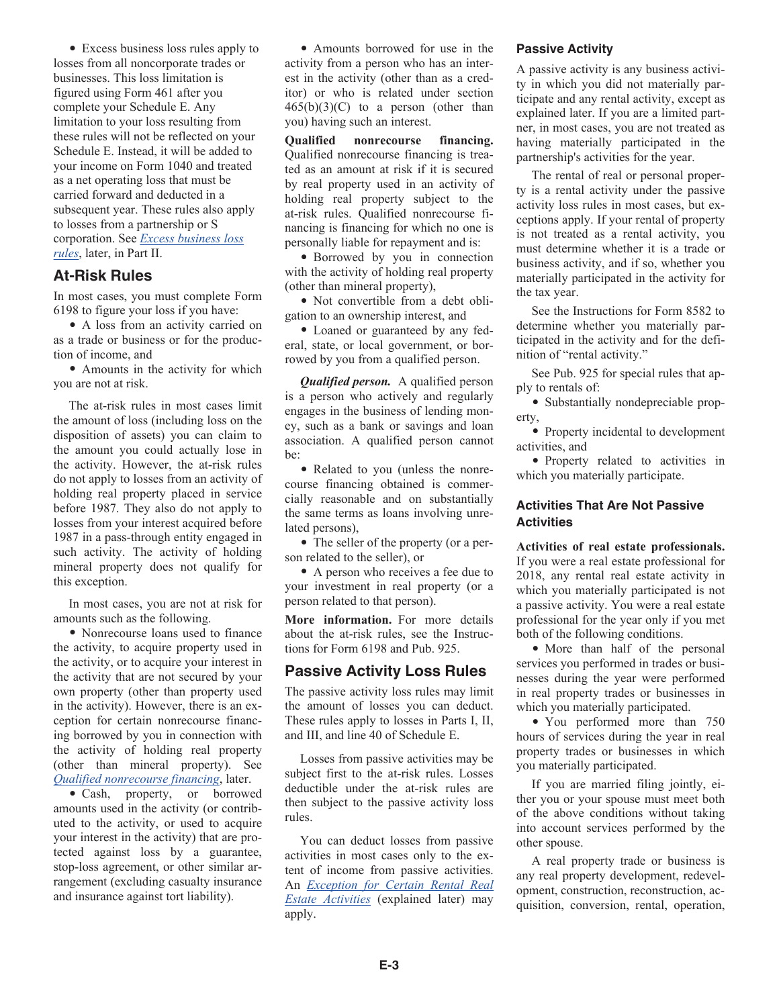<span id="page-2-0"></span>• Excess business loss rules apply to losses from all noncorporate trades or businesses. This loss limitation is figured using Form 461 after you complete your Schedule E. Any limitation to your loss resulting from these rules will not be reflected on your Schedule E. Instead, it will be added to your income on Form 1040 and treated as a net operating loss that must be carried forward and deducted in a subsequent year. These rules also apply to losses from a partnership or S corporation. See *[Excess business loss](#page-8-0)  [rules](#page-8-0)*, later, in Part II.

#### **At-Risk Rules**

In most cases, you must complete Form 6198 to figure your loss if you have:

• A loss from an activity carried on as a trade or business or for the production of income, and

• Amounts in the activity for which you are not at risk.

The at-risk rules in most cases limit the amount of loss (including loss on the disposition of assets) you can claim to the amount you could actually lose in the activity. However, the at-risk rules do not apply to losses from an activity of holding real property placed in service before 1987. They also do not apply to losses from your interest acquired before 1987 in a pass-through entity engaged in such activity. The activity of holding mineral property does not qualify for this exception.

In most cases, you are not at risk for amounts such as the following.

• Nonrecourse loans used to finance the activity, to acquire property used in the activity, or to acquire your interest in the activity that are not secured by your own property (other than property used in the activity). However, there is an exception for certain nonrecourse financing borrowed by you in connection with the activity of holding real property (other than mineral property). See *Qualified nonrecourse financing*, later.

• Cash, property, or borrowed amounts used in the activity (or contributed to the activity, or used to acquire your interest in the activity) that are protected against loss by a guarantee, stop-loss agreement, or other similar arrangement (excluding casualty insurance and insurance against tort liability).

• Amounts borrowed for use in the activity from a person who has an interest in the activity (other than as a creditor) or who is related under section 465(b)(3)(C) to a person (other than you) having such an interest.

**Qualified nonrecourse financing.**  Qualified nonrecourse financing is treated as an amount at risk if it is secured by real property used in an activity of holding real property subject to the at-risk rules. Qualified nonrecourse financing is financing for which no one is personally liable for repayment and is:

• Borrowed by you in connection with the activity of holding real property (other than mineral property),

• Not convertible from a debt obligation to an ownership interest, and

• Loaned or guaranteed by any federal, state, or local government, or borrowed by you from a qualified person.

*Qualified person.* A qualified person is a person who actively and regularly engages in the business of lending money, such as a bank or savings and loan association. A qualified person cannot be:

• Related to you (unless the nonrecourse financing obtained is commercially reasonable and on substantially the same terms as loans involving unrelated persons),

• The seller of the property (or a person related to the seller), or

• A person who receives a fee due to your investment in real property (or a person related to that person).

**More information.** For more details about the at-risk rules, see the Instructions for Form 6198 and Pub. 925.

#### **Passive Activity Loss Rules**

The passive activity loss rules may limit the amount of losses you can deduct. These rules apply to losses in Parts I, II, and III, and line 40 of Schedule E.

Losses from passive activities may be subject first to the at-risk rules. Losses deductible under the at-risk rules are then subject to the passive activity loss rules.

You can deduct losses from passive activities in most cases only to the extent of income from passive activities. An *[Exception for Certain Rental Real](#page-3-0) [Estate Activities](#page-3-0)* (explained later) may apply.

#### **Passive Activity**

A passive activity is any business activity in which you did not materially participate and any rental activity, except as explained later. If you are a limited partner, in most cases, you are not treated as having materially participated in the partnership's activities for the year.

The rental of real or personal property is a rental activity under the passive activity loss rules in most cases, but exceptions apply. If your rental of property is not treated as a rental activity, you must determine whether it is a trade or business activity, and if so, whether you materially participated in the activity for the tax year.

See the Instructions for Form 8582 to determine whether you materially participated in the activity and for the definition of "rental activity."

See Pub. 925 for special rules that apply to rentals of:

• Substantially nondepreciable property,

• Property incidental to development activities, and

• Property related to activities in which you materially participate.

#### **Activities That Are Not Passive Activities**

**Activities of real estate professionals.**  If you were a real estate professional for 2018, any rental real estate activity in which you materially participated is not a passive activity. You were a real estate professional for the year only if you met both of the following conditions.

• More than half of the personal services you performed in trades or businesses during the year were performed in real property trades or businesses in which you materially participated.

• You performed more than 750 hours of services during the year in real property trades or businesses in which you materially participated.

If you are married filing jointly, either you or your spouse must meet both of the above conditions without taking into account services performed by the other spouse.

A real property trade or business is any real property development, redevelopment, construction, reconstruction, acquisition, conversion, rental, operation,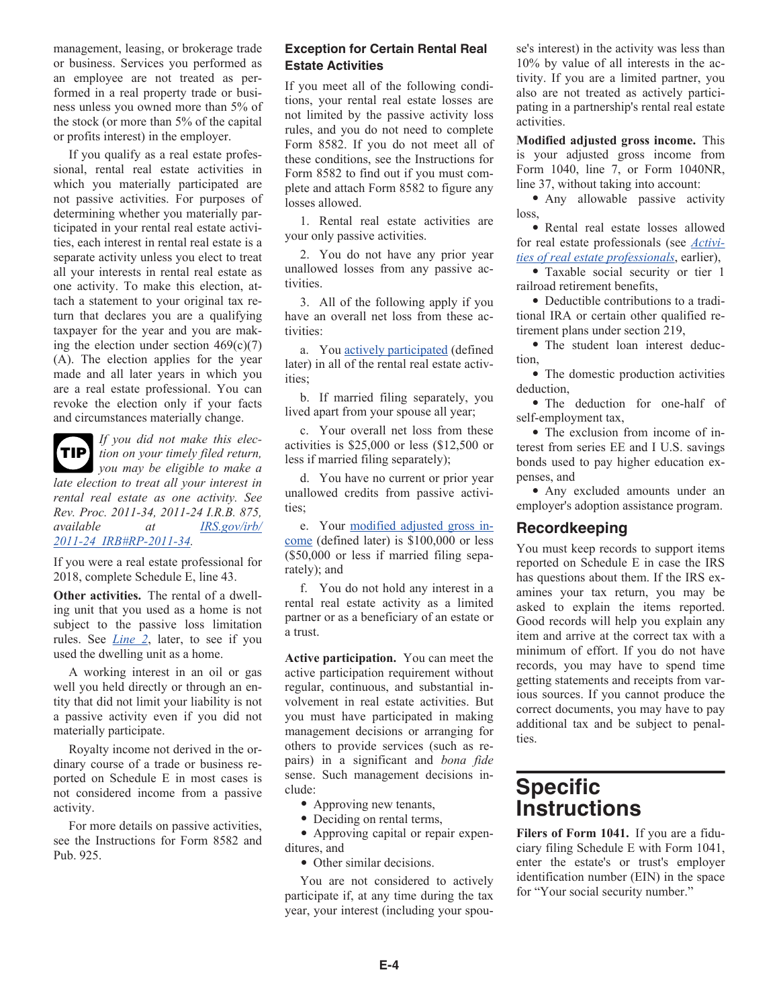<span id="page-3-0"></span>management, leasing, or brokerage trade or business. Services you performed as an employee are not treated as performed in a real property trade or business unless you owned more than 5% of the stock (or more than 5% of the capital or profits interest) in the employer.

If you qualify as a real estate professional, rental real estate activities in which you materially participated are not passive activities. For purposes of determining whether you materially participated in your rental real estate activities, each interest in rental real estate is a separate activity unless you elect to treat all your interests in rental real estate as one activity. To make this election, attach a statement to your original tax return that declares you are a qualifying taxpayer for the year and you are making the election under section  $469(c)(7)$ (A). The election applies for the year made and all later years in which you are a real estate professional. You can revoke the election only if your facts and circumstances materially change.

*If you did not make this election on your timely filed return,*  **TIP** *you may be eligible to make a late election to treat all your interest in rental real estate as one activity. See Rev. Proc. 2011-34, 2011-24 I.R.B. 875, available at [IRS.gov/irb/](https://www.irs.gov/irb/2011-24_IRB#RP-2011-34) [2011-24\\_IRB#RP-2011-34.](https://www.irs.gov/irb/2011-24_IRB#RP-2011-34)*

If you were a real estate professional for 2018, complete Schedule E, line 43.

**Other activities.** The rental of a dwelling unit that you used as a home is not subject to the passive loss limitation rules. See *[Line 2](#page-4-0)*, later, to see if you used the dwelling unit as a home.

A working interest in an oil or gas well you held directly or through an entity that did not limit your liability is not a passive activity even if you did not materially participate.

Royalty income not derived in the ordinary course of a trade or business reported on Schedule E in most cases is not considered income from a passive activity.

For more details on passive activities, see the Instructions for Form 8582 and Pub. 925.

#### **Exception for Certain Rental Real Estate Activities**

If you meet all of the following conditions, your rental real estate losses are not limited by the passive activity loss rules, and you do not need to complete Form 8582. If you do not meet all of these conditions, see the Instructions for Form 8582 to find out if you must complete and attach Form 8582 to figure any losses allowed.

1. Rental real estate activities are your only passive activities.

2. You do not have any prior year unallowed losses from any passive activities.

3. All of the following apply if you have an overall net loss from these activities:

a. You actively participated (defined later) in all of the rental real estate activities;

b. If married filing separately, you lived apart from your spouse all year;

c. Your overall net loss from these activities is \$25,000 or less (\$12,500 or less if married filing separately);

d. You have no current or prior year unallowed credits from passive activities;

e. Your modified adjusted gross income (defined later) is \$100,000 or less (\$50,000 or less if married filing separately); and

f. You do not hold any interest in a rental real estate activity as a limited partner or as a beneficiary of an estate or a trust.

**Active participation.** You can meet the active participation requirement without regular, continuous, and substantial involvement in real estate activities. But you must have participated in making management decisions or arranging for others to provide services (such as repairs) in a significant and *bona fide*  sense. Such management decisions include:

• Approving new tenants,

• Deciding on rental terms,

• Approving capital or repair expenditures, and

• Other similar decisions.

You are not considered to actively participate if, at any time during the tax year, your interest (including your spouse's interest) in the activity was less than 10% by value of all interests in the activity. If you are a limited partner, you also are not treated as actively participating in a partnership's rental real estate activities.

**Modified adjusted gross income.** This is your adjusted gross income from Form 1040, line 7, or Form 1040NR, line 37, without taking into account:

• Any allowable passive activity loss,

• Rental real estate losses allowed for real estate professionals (see *[Activi](#page-2-0)[ties of real estate professionals](#page-2-0)*, earlier),

• Taxable social security or tier 1 railroad retirement benefits,

• Deductible contributions to a traditional IRA or certain other qualified retirement plans under section 219,

• The student loan interest deduction,

• The domestic production activities deduction,

• The deduction for one-half of self-employment tax,

• The exclusion from income of interest from series EE and I U.S. savings bonds used to pay higher education expenses, and

• Any excluded amounts under an employer's adoption assistance program.

#### **Recordkeeping**

You must keep records to support items reported on Schedule E in case the IRS has questions about them. If the IRS examines your tax return, you may be asked to explain the items reported. Good records will help you explain any item and arrive at the correct tax with a minimum of effort. If you do not have records, you may have to spend time getting statements and receipts from various sources. If you cannot produce the correct documents, you may have to pay additional tax and be subject to penalties.

# **Specific Instructions**

**Filers of Form 1041.** If you are a fiduciary filing Schedule E with Form 1041, enter the estate's or trust's employer identification number (EIN) in the space for "Your social security number."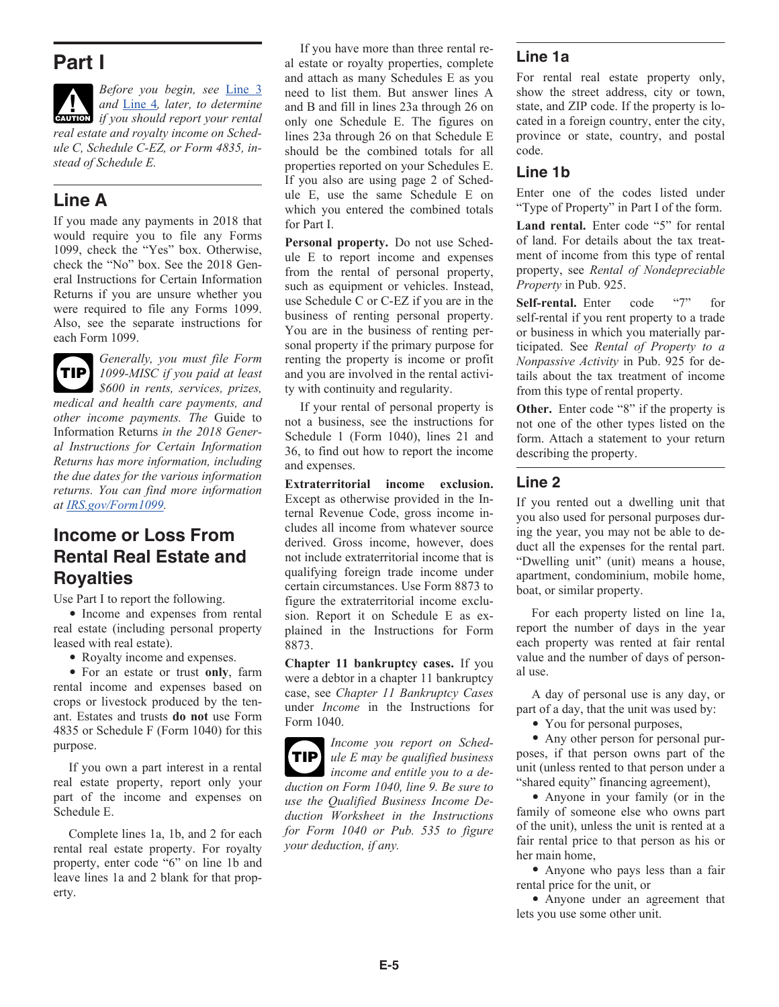# <span id="page-4-0"></span>**Part I**

*Before you begin, see* [Line 3](#page-5-0) *and* [Line 4](#page-5-0)*, later, to determine caution if you should report your rental real estate and royalty income on Schedule C, Schedule C-EZ, or Form 4835, instead of Schedule E.*

# **Line A**

If you made any payments in 2018 that would require you to file any Forms 1099, check the "Yes" box. Otherwise, check the "No" box. See the 2018 General Instructions for Certain Information Returns if you are unsure whether you were required to file any Forms 1099. Also, see the separate instructions for each Form 1099.



*1099-MISC if you paid at least*  **TIP** *\$600 in rents, services, prizes, medical and health care payments, and other income payments. The* Guide to Information Returns *in the 2018 General Instructions for Certain Information Returns has more information, including the due dates for the various information returns. You can find more information at [IRS.gov/Form1099.](https://www.irs.gov/form1099)*

# **Income or Loss From Rental Real Estate and Royalties**

Use Part I to report the following.

• Income and expenses from rental real estate (including personal property leased with real estate).

• Royalty income and expenses.

• For an estate or trust **only**, farm rental income and expenses based on crops or livestock produced by the tenant. Estates and trusts **do not** use Form 4835 or Schedule F (Form 1040) for this purpose.

If you own a part interest in a rental real estate property, report only your part of the income and expenses on Schedule E.

Complete lines 1a, 1b, and 2 for each rental real estate property. For royalty property, enter code "6" on line 1b and leave lines 1a and 2 blank for that property.

If you have more than three rental real estate or royalty properties, complete and attach as many Schedules E as you need to list them. But answer lines A and B and fill in lines 23a through 26 on only one Schedule E. The figures on lines 23a through 26 on that Schedule E should be the combined totals for all properties reported on your Schedules E. If you also are using page 2 of Schedule E, use the same Schedule E on which you entered the combined totals for Part I.

**Personal property.** Do not use Schedule E to report income and expenses from the rental of personal property, such as equipment or vehicles. Instead, use Schedule C or C-EZ if you are in the business of renting personal property. You are in the business of renting personal property if the primary purpose for renting the property is income or profit and you are involved in the rental activity with continuity and regularity.

If your rental of personal property is not a business, see the instructions for Schedule 1 (Form 1040), lines 21 and 36, to find out how to report the income and expenses.

**Extraterritorial income exclusion.**  Except as otherwise provided in the Internal Revenue Code, gross income includes all income from whatever source derived. Gross income, however, does not include extraterritorial income that is qualifying foreign trade income under certain circumstances. Use Form 8873 to figure the extraterritorial income exclusion. Report it on Schedule E as explained in the Instructions for Form 8873.

**Chapter 11 bankruptcy cases.** If you were a debtor in a chapter 11 bankruptcy case, see *Chapter 11 Bankruptcy Cases*  under *Income* in the Instructions for Form 1040.

*Income you report on Schedule E may be qualified business income and entitle you to a deduction on Form 1040, line 9. Be sure to use the Qualified Business Income Deduction Worksheet in the Instructions for Form 1040 or Pub. 535 to figure your deduction, if any.* **TIP**

### **Line 1a**

For rental real estate property only, show the street address, city or town, state, and ZIP code. If the property is located in a foreign country, enter the city, province or state, country, and postal code.

# **Line 1b**

Enter one of the codes listed under "Type of Property" in Part I of the form.

Land rental. Enter code "5" for rental of land. For details about the tax treatment of income from this type of rental property, see *Rental of Nondepreciable Property* in Pub. 925.

**Self-rental.** Enter code "7" for self-rental if you rent property to a trade or business in which you materially participated. See *Rental of Property to a Nonpassive Activity* in Pub. 925 for details about the tax treatment of income from this type of rental property.

**Other.** Enter code "8" if the property is not one of the other types listed on the form. Attach a statement to your return describing the property.

### **Line 2**

If you rented out a dwelling unit that you also used for personal purposes during the year, you may not be able to deduct all the expenses for the rental part. "Dwelling unit" (unit) means a house, apartment, condominium, mobile home, boat, or similar property.

For each property listed on line 1a, report the number of days in the year each property was rented at fair rental value and the number of days of personal use.

A day of personal use is any day, or part of a day, that the unit was used by:

• You for personal purposes,

• Any other person for personal purposes, if that person owns part of the unit (unless rented to that person under a "shared equity" financing agreement),

• Anyone in your family (or in the family of someone else who owns part of the unit), unless the unit is rented at a fair rental price to that person as his or her main home,

• Anyone who pays less than a fair rental price for the unit, or

• Anyone under an agreement that lets you use some other unit.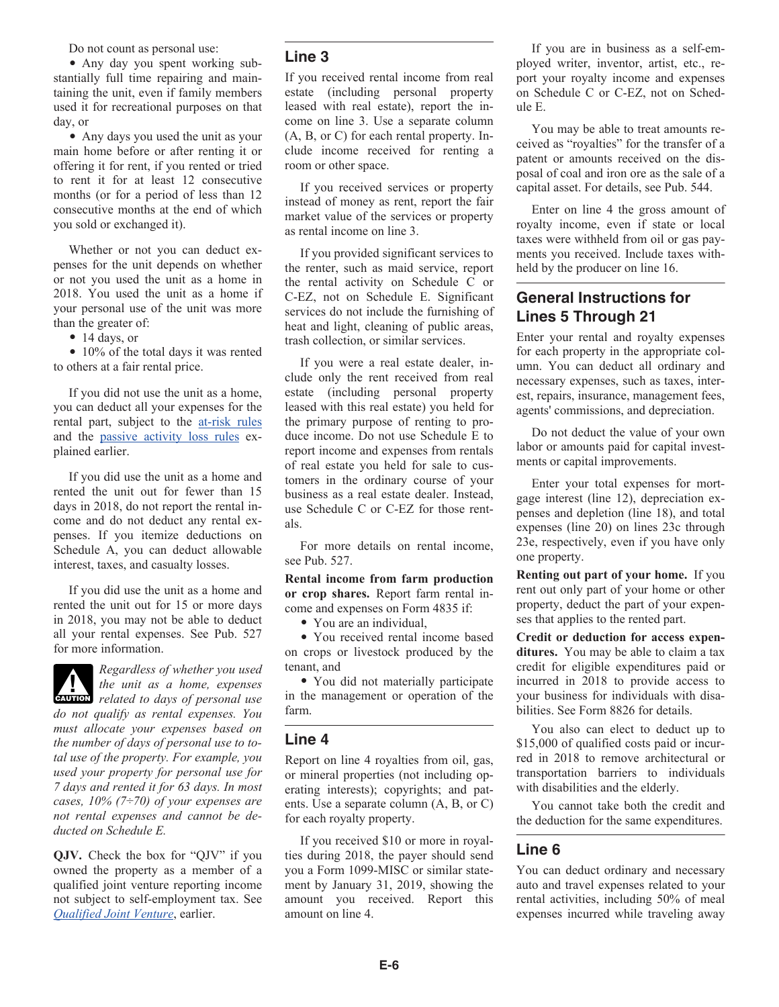Do not count as personal use:

<span id="page-5-0"></span>• Any day you spent working substantially full time repairing and maintaining the unit, even if family members used it for recreational purposes on that day, or

• Any days you used the unit as your main home before or after renting it or offering it for rent, if you rented or tried to rent it for at least 12 consecutive months (or for a period of less than 12 consecutive months at the end of which you sold or exchanged it).

Whether or not you can deduct expenses for the unit depends on whether or not you used the unit as a home in 2018. You used the unit as a home if your personal use of the unit was more than the greater of:

• 14 days, or

• 10% of the total days it was rented to others at a fair rental price.

If you did not use the unit as a home, you can deduct all your expenses for the rental part, subject to the [at-risk rules](#page-2-0) and the [passive activity loss rules](#page-2-0) explained earlier.

If you did use the unit as a home and rented the unit out for fewer than 15 days in 2018, do not report the rental income and do not deduct any rental expenses. If you itemize deductions on Schedule A, you can deduct allowable interest, taxes, and casualty losses.

If you did use the unit as a home and rented the unit out for 15 or more days in 2018, you may not be able to deduct all your rental expenses. See Pub. 527 for more information.



*Regardless of whether you used the unit as a home, expenses caution the unit as a home, expenses related to days of personal use* 

*do not qualify as rental expenses. You must allocate your expenses based on the number of days of personal use to total use of the property. For example, you used your property for personal use for 7 days and rented it for 63 days. In most cases, 10% (7÷70) of your expenses are not rental expenses and cannot be deducted on Schedule E.*

**QJV.** Check the box for "QJV" if you owned the property as a member of a qualified joint venture reporting income not subject to self-employment tax. See *[Qualified Joint Venture](#page-1-0)*, earlier.

### **Line 3**

If you received rental income from real estate (including personal property leased with real estate), report the income on line 3. Use a separate column (A, B, or C) for each rental property. Include income received for renting a room or other space.

If you received services or property instead of money as rent, report the fair market value of the services or property as rental income on line 3.

If you provided significant services to the renter, such as maid service, report the rental activity on Schedule C or C-EZ, not on Schedule E. Significant services do not include the furnishing of heat and light, cleaning of public areas, trash collection, or similar services.

If you were a real estate dealer, include only the rent received from real estate (including personal property leased with this real estate) you held for the primary purpose of renting to produce income. Do not use Schedule E to report income and expenses from rentals of real estate you held for sale to customers in the ordinary course of your business as a real estate dealer. Instead, use Schedule C or C-EZ for those rentals.

For more details on rental income, see Pub. 527.

**Rental income from farm production or crop shares.** Report farm rental income and expenses on Form 4835 if:

• You are an individual,

• You received rental income based on crops or livestock produced by the tenant, and

• You did not materially participate in the management or operation of the farm.

#### **Line 4**

Report on line 4 royalties from oil, gas, or mineral properties (not including operating interests); copyrights; and patents. Use a separate column (A, B, or C) for each royalty property.

If you received \$10 or more in royalties during 2018, the payer should send you a Form 1099-MISC or similar statement by January 31, 2019, showing the amount you received. Report this amount on line 4.

If you are in business as a self-employed writer, inventor, artist, etc., report your royalty income and expenses on Schedule C or C-EZ, not on Schedule E.

You may be able to treat amounts received as "royalties" for the transfer of a patent or amounts received on the disposal of coal and iron ore as the sale of a capital asset. For details, see Pub. 544.

Enter on line 4 the gross amount of royalty income, even if state or local taxes were withheld from oil or gas payments you received. Include taxes withheld by the producer on line 16.

# **General Instructions for Lines 5 Through 21**

Enter your rental and royalty expenses for each property in the appropriate column. You can deduct all ordinary and necessary expenses, such as taxes, interest, repairs, insurance, management fees, agents' commissions, and depreciation.

Do not deduct the value of your own labor or amounts paid for capital investments or capital improvements.

Enter your total expenses for mortgage interest (line 12), depreciation expenses and depletion (line 18), and total expenses (line 20) on lines 23c through 23e, respectively, even if you have only one property.

**Renting out part of your home.** If you rent out only part of your home or other property, deduct the part of your expenses that applies to the rented part.

**Credit or deduction for access expenditures.** You may be able to claim a tax credit for eligible expenditures paid or incurred in 2018 to provide access to your business for individuals with disabilities. See Form 8826 for details.

You also can elect to deduct up to \$15,000 of qualified costs paid or incurred in 2018 to remove architectural or transportation barriers to individuals with disabilities and the elderly.

You cannot take both the credit and the deduction for the same expenditures.

### **Line 6**

You can deduct ordinary and necessary auto and travel expenses related to your rental activities, including 50% of meal expenses incurred while traveling away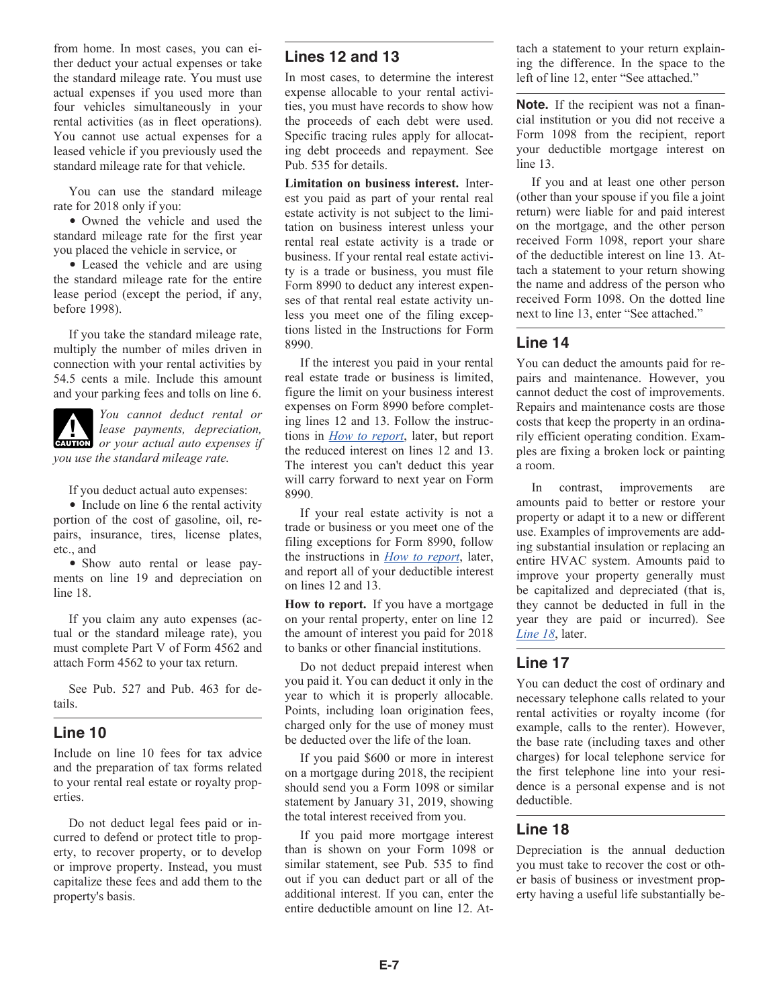<span id="page-6-0"></span>from home. In most cases, you can either deduct your actual expenses or take the standard mileage rate. You must use actual expenses if you used more than four vehicles simultaneously in your rental activities (as in fleet operations). You cannot use actual expenses for a leased vehicle if you previously used the standard mileage rate for that vehicle.

You can use the standard mileage rate for 2018 only if you:

• Owned the vehicle and used the standard mileage rate for the first year you placed the vehicle in service, or

• Leased the vehicle and are using the standard mileage rate for the entire lease period (except the period, if any, before 1998).

If you take the standard mileage rate, multiply the number of miles driven in connection with your rental activities by 54.5 cents a mile. Include this amount and your parking fees and tolls on line 6.



*You cannot deduct rental or lease payments, depreciation, CAUTION or your actual auto expenses if you use the standard mileage rate.*

If you deduct actual auto expenses:

• Include on line 6 the rental activity portion of the cost of gasoline, oil, repairs, insurance, tires, license plates, etc., and

• Show auto rental or lease payments on line 19 and depreciation on line 18.

If you claim any auto expenses (actual or the standard mileage rate), you must complete Part V of Form 4562 and attach Form 4562 to your tax return.

See Pub. 527 and Pub. 463 for details.

### **Line 10**

Include on line 10 fees for tax advice and the preparation of tax forms related to your rental real estate or royalty properties.

Do not deduct legal fees paid or incurred to defend or protect title to property, to recover property, or to develop or improve property. Instead, you must capitalize these fees and add them to the property's basis.

### **Lines 12 and 13**

In most cases, to determine the interest expense allocable to your rental activities, you must have records to show how the proceeds of each debt were used. Specific tracing rules apply for allocating debt proceeds and repayment. See Pub. 535 for details.

**Limitation on business interest.** Interest you paid as part of your rental real estate activity is not subject to the limitation on business interest unless your rental real estate activity is a trade or business. If your rental real estate activity is a trade or business, you must file Form 8990 to deduct any interest expenses of that rental real estate activity unless you meet one of the filing exceptions listed in the Instructions for Form 8990.

If the interest you paid in your rental real estate trade or business is limited, figure the limit on your business interest expenses on Form 8990 before completing lines 12 and 13. Follow the instructions in *How to report*, later, but report the reduced interest on lines 12 and 13. The interest you can't deduct this year will carry forward to next year on Form 8990.

If your real estate activity is not a trade or business or you meet one of the filing exceptions for Form 8990, follow the instructions in *How to report*, later, and report all of your deductible interest on lines 12 and 13.

**How to report.** If you have a mortgage on your rental property, enter on line 12 the amount of interest you paid for 2018 to banks or other financial institutions.

Do not deduct prepaid interest when you paid it. You can deduct it only in the year to which it is properly allocable. Points, including loan origination fees, charged only for the use of money must be deducted over the life of the loan.

If you paid \$600 or more in interest on a mortgage during 2018, the recipient should send you a Form 1098 or similar statement by January 31, 2019, showing the total interest received from you.

If you paid more mortgage interest than is shown on your Form 1098 or similar statement, see Pub. 535 to find out if you can deduct part or all of the additional interest. If you can, enter the entire deductible amount on line 12. Attach a statement to your return explaining the difference. In the space to the left of line 12, enter "See attached."

**Note.** If the recipient was not a financial institution or you did not receive a Form 1098 from the recipient, report your deductible mortgage interest on line 13.

If you and at least one other person (other than your spouse if you file a joint return) were liable for and paid interest on the mortgage, and the other person received Form 1098, report your share of the deductible interest on line 13. Attach a statement to your return showing the name and address of the person who received Form 1098. On the dotted line next to line 13, enter "See attached."

### **Line 14**

You can deduct the amounts paid for repairs and maintenance. However, you cannot deduct the cost of improvements. Repairs and maintenance costs are those costs that keep the property in an ordinarily efficient operating condition. Examples are fixing a broken lock or painting a room.

In contrast, improvements are amounts paid to better or restore your property or adapt it to a new or different use. Examples of improvements are adding substantial insulation or replacing an entire HVAC system. Amounts paid to improve your property generally must be capitalized and depreciated (that is, they cannot be deducted in full in the year they are paid or incurred). See *Line 18*, later.

# **Line 17**

You can deduct the cost of ordinary and necessary telephone calls related to your rental activities or royalty income (for example, calls to the renter). However, the base rate (including taxes and other charges) for local telephone service for the first telephone line into your residence is a personal expense and is not deductible.

# **Line 18**

Depreciation is the annual deduction you must take to recover the cost or other basis of business or investment property having a useful life substantially be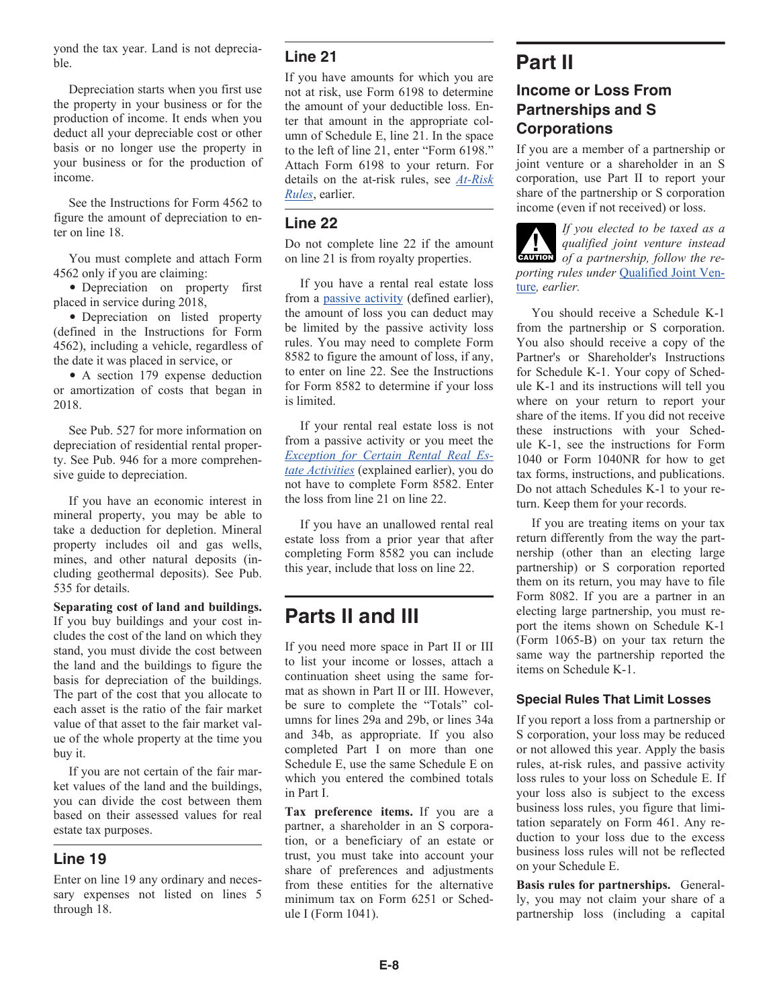<span id="page-7-0"></span>yond the tax year. Land is not depreciable.

Depreciation starts when you first use the property in your business or for the production of income. It ends when you deduct all your depreciable cost or other basis or no longer use the property in your business or for the production of income.

See the Instructions for Form 4562 to figure the amount of depreciation to enter on line 18.

You must complete and attach Form 4562 only if you are claiming:

• Depreciation on property first placed in service during 2018,

• Depreciation on listed property (defined in the Instructions for Form 4562), including a vehicle, regardless of the date it was placed in service, or

• A section 179 expense deduction or amortization of costs that began in 2018.

See Pub. 527 for more information on depreciation of residential rental property. See Pub. 946 for a more comprehensive guide to depreciation.

If you have an economic interest in mineral property, you may be able to take a deduction for depletion. Mineral property includes oil and gas wells, mines, and other natural deposits (including geothermal deposits). See Pub. 535 for details.

**Separating cost of land and buildings.**  If you buy buildings and your cost includes the cost of the land on which they stand, you must divide the cost between the land and the buildings to figure the basis for depreciation of the buildings. The part of the cost that you allocate to each asset is the ratio of the fair market value of that asset to the fair market value of the whole property at the time you buy it.

If you are not certain of the fair market values of the land and the buildings, you can divide the cost between them based on their assessed values for real estate tax purposes.

#### **Line 19**

Enter on line 19 any ordinary and necessary expenses not listed on lines 5 through 18.

#### **Line 21**

If you have amounts for which you are not at risk, use Form 6198 to determine the amount of your deductible loss. Enter that amount in the appropriate column of Schedule E, line 21. In the space to the left of line 21, enter "Form 6198." Attach Form 6198 to your return. For details on the at-risk rules, see *[At-Risk](#page-2-0) [Rules](#page-2-0)*, earlier.

#### **Line 22**

Do not complete line 22 if the amount on line 21 is from royalty properties.

If you have a rental real estate loss from a [passive activity](#page-2-0) (defined earlier), the amount of loss you can deduct may be limited by the passive activity loss rules. You may need to complete Form 8582 to figure the amount of loss, if any, to enter on line 22. See the Instructions for Form 8582 to determine if your loss is limited.

If your rental real estate loss is not from a passive activity or you meet the *[Exception for Certain Rental Real Es](#page-3-0)[tate Activities](#page-3-0)* (explained earlier), you do not have to complete Form 8582. Enter the loss from line 21 on line 22.

If you have an unallowed rental real estate loss from a prior year that after completing Form 8582 you can include this year, include that loss on line 22.

# **Parts II and III**

If you need more space in Part II or III to list your income or losses, attach a continuation sheet using the same format as shown in Part II or III. However, be sure to complete the "Totals" columns for lines 29a and 29b, or lines 34a and 34b, as appropriate. If you also completed Part I on more than one Schedule E, use the same Schedule E on which you entered the combined totals in Part I.

**Tax preference items.** If you are a partner, a shareholder in an S corporation, or a beneficiary of an estate or trust, you must take into account your share of preferences and adjustments from these entities for the alternative minimum tax on Form 6251 or Schedule I (Form 1041).

# **Part II**

# **Income or Loss From Partnerships and S Corporations**

If you are a member of a partnership or joint venture or a shareholder in an S corporation, use Part II to report your share of the partnership or S corporation income (even if not received) or loss.

*If you elected to be taxed as a qualified joint venture instead*  **of** a partnership, follow the re*porting rules under* [Qualified Joint Ven](#page-1-0)[ture](#page-1-0)*, earlier.*

You should receive a Schedule K-1 from the partnership or S corporation. You also should receive a copy of the Partner's or Shareholder's Instructions for Schedule K-1. Your copy of Schedule K-1 and its instructions will tell you where on your return to report your share of the items. If you did not receive these instructions with your Schedule K-1, see the instructions for Form 1040 or Form 1040NR for how to get tax forms, instructions, and publications. Do not attach Schedules K-1 to your return. Keep them for your records.

If you are treating items on your tax return differently from the way the partnership (other than an electing large partnership) or S corporation reported them on its return, you may have to file Form 8082. If you are a partner in an electing large partnership, you must report the items shown on Schedule K-1 (Form 1065-B) on your tax return the same way the partnership reported the items on Schedule K-1.

#### **Special Rules That Limit Losses**

If you report a loss from a partnership or S corporation, your loss may be reduced or not allowed this year. Apply the basis rules, at-risk rules, and passive activity loss rules to your loss on Schedule E. If your loss also is subject to the excess business loss rules, you figure that limitation separately on Form 461. Any reduction to your loss due to the excess business loss rules will not be reflected on your Schedule E.

**Basis rules for partnerships.** Generally, you may not claim your share of a partnership loss (including a capital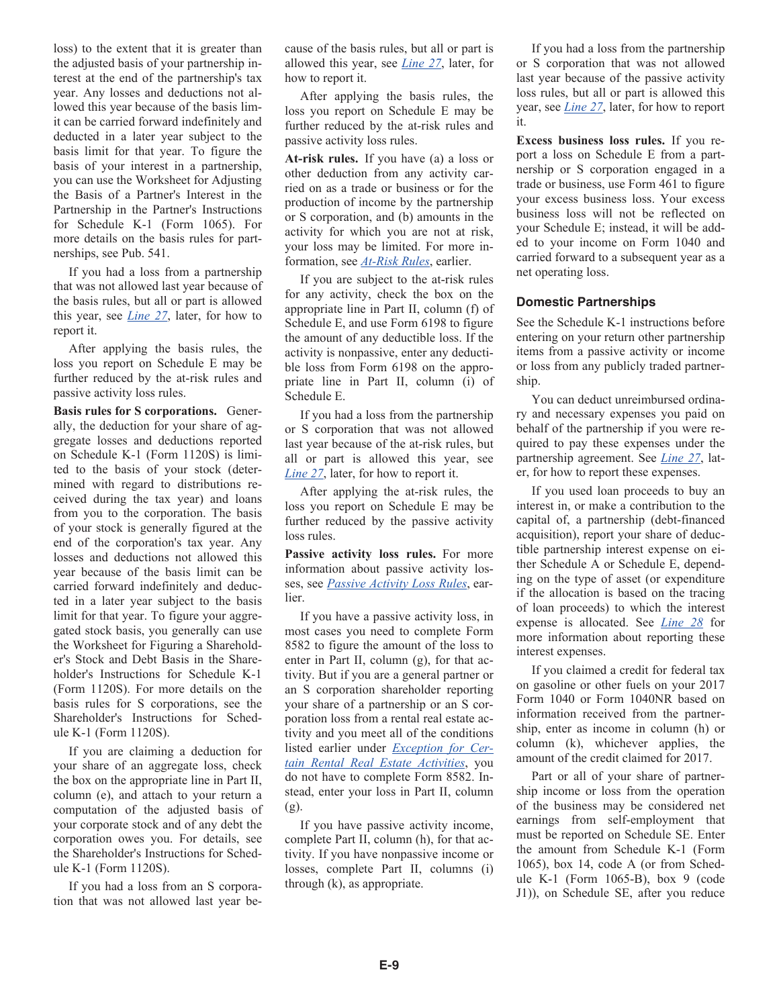<span id="page-8-0"></span>loss) to the extent that it is greater than the adjusted basis of your partnership interest at the end of the partnership's tax year. Any losses and deductions not allowed this year because of the basis limit can be carried forward indefinitely and deducted in a later year subject to the basis limit for that year. To figure the basis of your interest in a partnership, you can use the Worksheet for Adjusting the Basis of a Partner's Interest in the Partnership in the Partner's Instructions for Schedule K-1 (Form 1065). For more details on the basis rules for partnerships, see Pub. 541.

If you had a loss from a partnership that was not allowed last year because of the basis rules, but all or part is allowed this year, see *[Line 27](#page-9-0)*, later, for how to report it.

After applying the basis rules, the loss you report on Schedule E may be further reduced by the at-risk rules and passive activity loss rules.

**Basis rules for S corporations.** Generally, the deduction for your share of aggregate losses and deductions reported on Schedule K-1 (Form 1120S) is limited to the basis of your stock (determined with regard to distributions received during the tax year) and loans from you to the corporation. The basis of your stock is generally figured at the end of the corporation's tax year. Any losses and deductions not allowed this year because of the basis limit can be carried forward indefinitely and deducted in a later year subject to the basis limit for that year. To figure your aggregated stock basis, you generally can use the Worksheet for Figuring a Shareholder's Stock and Debt Basis in the Shareholder's Instructions for Schedule K-1 (Form 1120S). For more details on the basis rules for S corporations, see the Shareholder's Instructions for Schedule K-1 (Form 1120S).

If you are claiming a deduction for your share of an aggregate loss, check the box on the appropriate line in Part II, column (e), and attach to your return a computation of the adjusted basis of your corporate stock and of any debt the corporation owes you. For details, see the Shareholder's Instructions for Schedule K-1 (Form 1120S).

If you had a loss from an S corporation that was not allowed last year because of the basis rules, but all or part is allowed this year, see *[Line 27](#page-9-0)*, later, for how to report it.

After applying the basis rules, the loss you report on Schedule E may be further reduced by the at-risk rules and passive activity loss rules.

**At-risk rules.** If you have (a) a loss or other deduction from any activity carried on as a trade or business or for the production of income by the partnership or S corporation, and (b) amounts in the activity for which you are not at risk, your loss may be limited. For more information, see *[At-Risk Rules](#page-2-0)*, earlier.

If you are subject to the at-risk rules for any activity, check the box on the appropriate line in Part II, column (f) of Schedule E, and use Form 6198 to figure the amount of any deductible loss. If the activity is nonpassive, enter any deductible loss from Form 6198 on the appropriate line in Part II, column (i) of Schedule E.

If you had a loss from the partnership or S corporation that was not allowed last year because of the at-risk rules, but all or part is allowed this year, see *[Line 27](#page-9-0)*, later, for how to report it.

After applying the at-risk rules, the loss you report on Schedule E may be further reduced by the passive activity loss rules.

**Passive activity loss rules.** For more information about passive activity losses, see *[Passive Activity Loss Rules](#page-2-0)*, earlier.

If you have a passive activity loss, in most cases you need to complete Form 8582 to figure the amount of the loss to enter in Part II, column (g), for that activity. But if you are a general partner or an S corporation shareholder reporting your share of a partnership or an S corporation loss from a rental real estate activity and you meet all of the conditions listed earlier under *[Exception for Cer](#page-3-0)[tain Rental Real Estate Activities](#page-3-0)*, you do not have to complete Form 8582. Instead, enter your loss in Part II, column (g).

If you have passive activity income, complete Part II, column (h), for that activity. If you have nonpassive income or losses, complete Part II, columns (i) through (k), as appropriate.

If you had a loss from the partnership or S corporation that was not allowed last year because of the passive activity loss rules, but all or part is allowed this year, see *[Line 27](#page-9-0)*, later, for how to report it.

**Excess business loss rules.** If you report a loss on Schedule E from a partnership or S corporation engaged in a trade or business, use Form 461 to figure your excess business loss. Your excess business loss will not be reflected on your Schedule E; instead, it will be added to your income on Form 1040 and carried forward to a subsequent year as a net operating loss.

#### **Domestic Partnerships**

See the Schedule K-1 instructions before entering on your return other partnership items from a passive activity or income or loss from any publicly traded partnership.

You can deduct unreimbursed ordinary and necessary expenses you paid on behalf of the partnership if you were required to pay these expenses under the partnership agreement. See *[Line 27](#page-9-0)*, later, for how to report these expenses.

If you used loan proceeds to buy an interest in, or make a contribution to the capital of, a partnership (debt-financed acquisition), report your share of deductible partnership interest expense on either Schedule A or Schedule E, depending on the type of asset (or expenditure if the allocation is based on the tracing of loan proceeds) to which the interest expense is allocated. See *[Line 28](#page-10-0)* for more information about reporting these interest expenses.

If you claimed a credit for federal tax on gasoline or other fuels on your 2017 Form 1040 or Form 1040NR based on information received from the partnership, enter as income in column (h) or column (k), whichever applies, the amount of the credit claimed for 2017.

Part or all of your share of partnership income or loss from the operation of the business may be considered net earnings from self-employment that must be reported on Schedule SE. Enter the amount from Schedule K-1 (Form 1065), box 14, code A (or from Schedule K-1 (Form 1065-B), box 9 (code J1)), on Schedule SE, after you reduce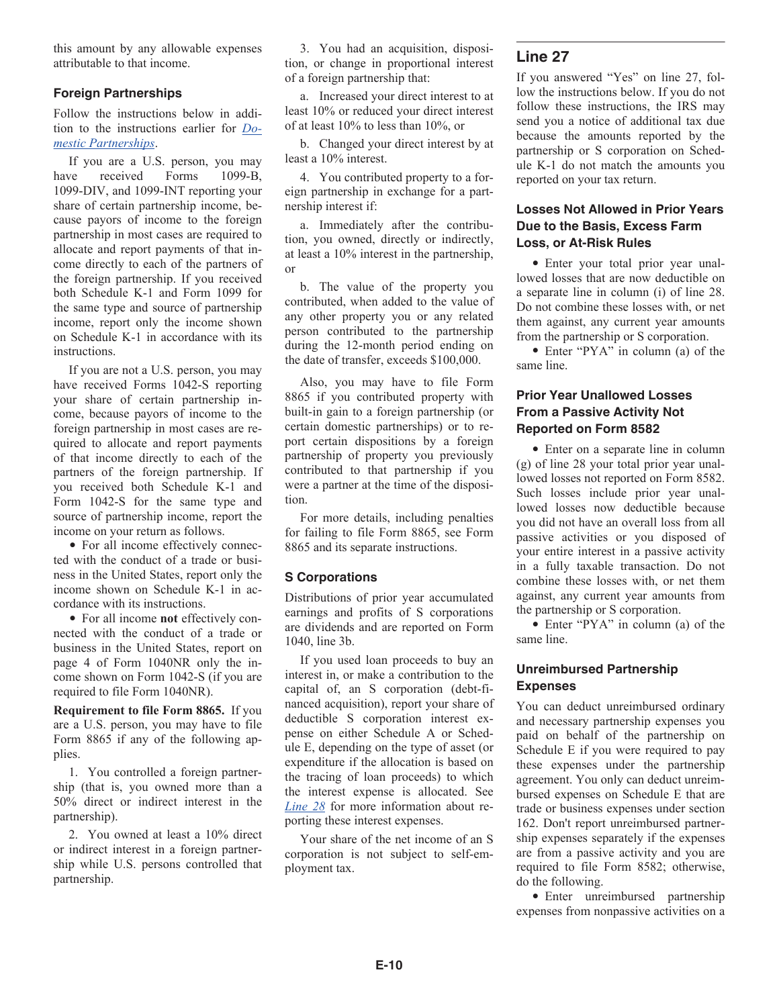<span id="page-9-0"></span>this amount by any allowable expenses attributable to that income.

#### **Foreign Partnerships**

Follow the instructions below in addition to the instructions earlier for *[Do](#page-8-0)[mestic Partnerships](#page-8-0)*.

If you are a U.S. person, you may have received Forms 1099-B, 1099-DIV, and 1099-INT reporting your share of certain partnership income, because payors of income to the foreign partnership in most cases are required to allocate and report payments of that income directly to each of the partners of the foreign partnership. If you received both Schedule K-1 and Form 1099 for the same type and source of partnership income, report only the income shown on Schedule K-1 in accordance with its instructions.

If you are not a U.S. person, you may have received Forms 1042-S reporting your share of certain partnership income, because payors of income to the foreign partnership in most cases are required to allocate and report payments of that income directly to each of the partners of the foreign partnership. If you received both Schedule K-1 and Form 1042-S for the same type and source of partnership income, report the income on your return as follows.

• For all income effectively connected with the conduct of a trade or business in the United States, report only the income shown on Schedule K-1 in accordance with its instructions.

• For all income **not** effectively connected with the conduct of a trade or business in the United States, report on page 4 of Form 1040NR only the income shown on Form 1042-S (if you are required to file Form 1040NR).

**Requirement to file Form 8865.** If you are a U.S. person, you may have to file Form 8865 if any of the following applies.

1. You controlled a foreign partnership (that is, you owned more than a 50% direct or indirect interest in the partnership).

2. You owned at least a 10% direct or indirect interest in a foreign partnership while U.S. persons controlled that partnership.

3. You had an acquisition, disposition, or change in proportional interest of a foreign partnership that:

a. Increased your direct interest to at least 10% or reduced your direct interest of at least 10% to less than 10%, or

b. Changed your direct interest by at least a 10% interest.

4. You contributed property to a foreign partnership in exchange for a partnership interest if:

a. Immediately after the contribution, you owned, directly or indirectly, at least a 10% interest in the partnership, or

b. The value of the property you contributed, when added to the value of any other property you or any related person contributed to the partnership during the 12-month period ending on the date of transfer, exceeds \$100,000.

Also, you may have to file Form 8865 if you contributed property with built-in gain to a foreign partnership (or certain domestic partnerships) or to report certain dispositions by a foreign partnership of property you previously contributed to that partnership if you were a partner at the time of the disposition.

For more details, including penalties for failing to file Form 8865, see Form 8865 and its separate instructions.

#### **S Corporations**

Distributions of prior year accumulated earnings and profits of S corporations are dividends and are reported on Form 1040, line 3b.

If you used loan proceeds to buy an interest in, or make a contribution to the capital of, an S corporation (debt-financed acquisition), report your share of deductible S corporation interest expense on either Schedule A or Schedule E, depending on the type of asset (or expenditure if the allocation is based on the tracing of loan proceeds) to which the interest expense is allocated. See *[Line 28](#page-10-0)* for more information about reporting these interest expenses.

Your share of the net income of an S corporation is not subject to self-employment tax.

### **Line 27**

If you answered "Yes" on line 27, follow the instructions below. If you do not follow these instructions, the IRS may send you a notice of additional tax due because the amounts reported by the partnership or S corporation on Schedule K-1 do not match the amounts you reported on your tax return.

#### **Losses Not Allowed in Prior Years Due to the Basis, Excess Farm Loss, or At-Risk Rules**

• Enter your total prior year unallowed losses that are now deductible on a separate line in column (i) of line 28. Do not combine these losses with, or net them against, any current year amounts from the partnership or S corporation.

• Enter "PYA" in column (a) of the same line.

#### **Prior Year Unallowed Losses From a Passive Activity Not Reported on Form 8582**

• Enter on a separate line in column (g) of line 28 your total prior year unallowed losses not reported on Form 8582. Such losses include prior year unallowed losses now deductible because you did not have an overall loss from all passive activities or you disposed of your entire interest in a passive activity in a fully taxable transaction. Do not combine these losses with, or net them against, any current year amounts from the partnership or S corporation.

• Enter "PYA" in column (a) of the same line.

#### **Unreimbursed Partnership Expenses**

You can deduct unreimbursed ordinary and necessary partnership expenses you paid on behalf of the partnership on Schedule E if you were required to pay these expenses under the partnership agreement. You only can deduct unreimbursed expenses on Schedule E that are trade or business expenses under section 162. Don't report unreimbursed partnership expenses separately if the expenses are from a passive activity and you are required to file Form 8582; otherwise, do the following.

• Enter unreimbursed partnership expenses from nonpassive activities on a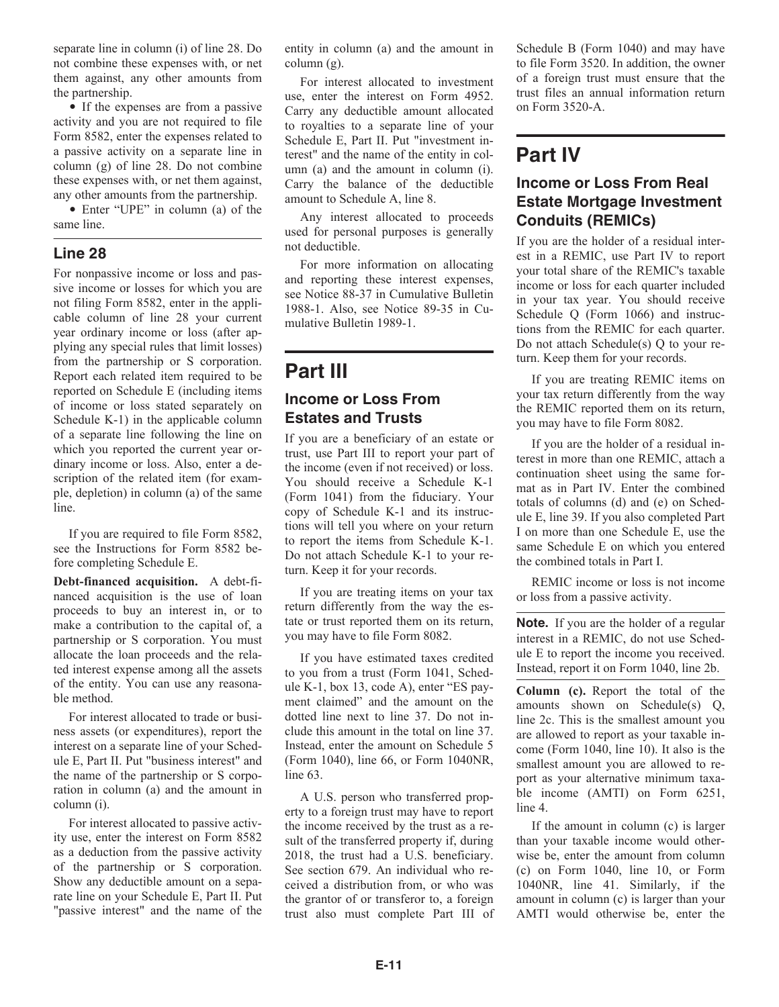<span id="page-10-0"></span>separate line in column (i) of line 28. Do not combine these expenses with, or net them against, any other amounts from the partnership.

• If the expenses are from a passive activity and you are not required to file Form 8582, enter the expenses related to a passive activity on a separate line in column (g) of line 28. Do not combine these expenses with, or net them against, any other amounts from the partnership.

• Enter "UPE" in column (a) of the same line.

### **Line 28**

For nonpassive income or loss and passive income or losses for which you are not filing Form 8582, enter in the applicable column of line 28 your current year ordinary income or loss (after applying any special rules that limit losses) from the partnership or S corporation. Report each related item required to be reported on Schedule E (including items of income or loss stated separately on Schedule K-1) in the applicable column of a separate line following the line on which you reported the current year ordinary income or loss. Also, enter a description of the related item (for example, depletion) in column (a) of the same line.

If you are required to file Form 8582, see the Instructions for Form 8582 before completing Schedule E.

**Debt-financed acquisition.** A debt-financed acquisition is the use of loan proceeds to buy an interest in, or to make a contribution to the capital of, a partnership or S corporation. You must allocate the loan proceeds and the related interest expense among all the assets of the entity. You can use any reasonable method.

For interest allocated to trade or business assets (or expenditures), report the interest on a separate line of your Schedule E, Part II. Put "business interest" and the name of the partnership or S corporation in column (a) and the amount in column (i).

For interest allocated to passive activity use, enter the interest on Form 8582 as a deduction from the passive activity of the partnership or S corporation. Show any deductible amount on a separate line on your Schedule E, Part II. Put "passive interest" and the name of the entity in column (a) and the amount in column (g).

For interest allocated to investment use, enter the interest on Form 4952. Carry any deductible amount allocated to royalties to a separate line of your Schedule E, Part II. Put "investment interest" and the name of the entity in column (a) and the amount in column (i). Carry the balance of the deductible amount to Schedule A, line 8.

Any interest allocated to proceeds used for personal purposes is generally not deductible.

For more information on allocating and reporting these interest expenses, see Notice 88-37 in Cumulative Bulletin 1988-1. Also, see Notice 89-35 in Cumulative Bulletin 1989-1.

# **Part III**

# **Income or Loss From Estates and Trusts**

If you are a beneficiary of an estate or trust, use Part III to report your part of the income (even if not received) or loss. You should receive a Schedule K-1 (Form 1041) from the fiduciary. Your copy of Schedule K-1 and its instructions will tell you where on your return to report the items from Schedule K-1. Do not attach Schedule K-1 to your return. Keep it for your records.

If you are treating items on your tax return differently from the way the estate or trust reported them on its return, you may have to file Form 8082.

If you have estimated taxes credited to you from a trust (Form 1041, Schedule K-1, box 13, code A), enter "ES payment claimed" and the amount on the dotted line next to line 37. Do not include this amount in the total on line 37. Instead, enter the amount on Schedule 5 (Form 1040), line 66, or Form 1040NR, line 63.

A U.S. person who transferred property to a foreign trust may have to report the income received by the trust as a result of the transferred property if, during 2018, the trust had a U.S. beneficiary. See section 679. An individual who received a distribution from, or who was the grantor of or transferor to, a foreign trust also must complete Part III of Schedule B (Form 1040) and may have to file Form 3520. In addition, the owner of a foreign trust must ensure that the trust files an annual information return on Form 3520-A.

# **Part IV**

# **Income or Loss From Real Estate Mortgage Investment Conduits (REMICs)**

If you are the holder of a residual interest in a REMIC, use Part IV to report your total share of the REMIC's taxable income or loss for each quarter included in your tax year. You should receive Schedule Q (Form 1066) and instructions from the REMIC for each quarter. Do not attach Schedule(s) Q to your return. Keep them for your records.

If you are treating REMIC items on your tax return differently from the way the REMIC reported them on its return, you may have to file Form 8082.

If you are the holder of a residual interest in more than one REMIC, attach a continuation sheet using the same format as in Part IV. Enter the combined totals of columns (d) and (e) on Schedule E, line 39. If you also completed Part I on more than one Schedule E, use the same Schedule E on which you entered the combined totals in Part I.

REMIC income or loss is not income or loss from a passive activity.

**Note.** If you are the holder of a regular interest in a REMIC, do not use Schedule E to report the income you received. Instead, report it on Form 1040, line 2b.

**Column (c).** Report the total of the amounts shown on Schedule(s) Q, line 2c. This is the smallest amount you are allowed to report as your taxable income (Form 1040, line 10). It also is the smallest amount you are allowed to report as your alternative minimum taxable income (AMTI) on Form 6251, line 4.

If the amount in column (c) is larger than your taxable income would otherwise be, enter the amount from column (c) on Form 1040, line 10, or Form 1040NR, line 41. Similarly, if the amount in column (c) is larger than your AMTI would otherwise be, enter the